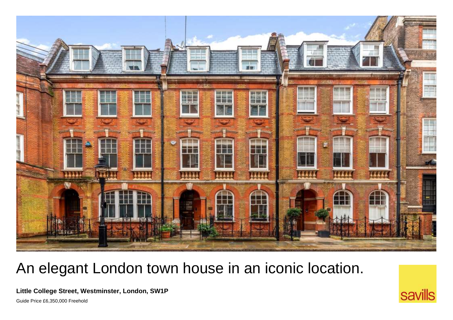

## An elegant London town house in an iconic location.

**Little College Street, Westminster, London, SW1P**

Guide Price £6,350,000 Freehold

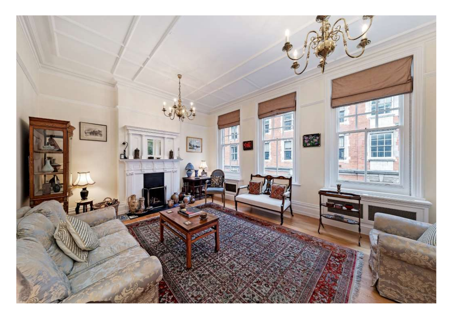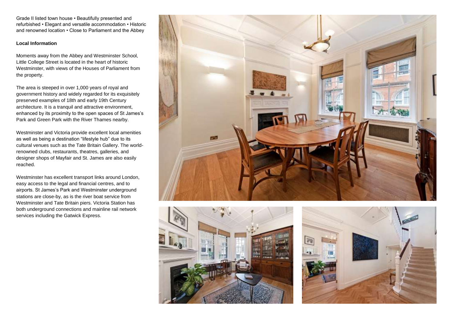Grade II listed town house • Beautifully presented and refurbished • Elegant and versatile accommodation • Historic and renowned location • Close to Parliament and the Abbey

## **Local Information**

Moments away from the Abbey and Westminster School, Little College Street is located in the heart of historic Westminster, with views of the Houses of Parliament from the property.

The area is steeped in over 1,000 years of royal and government history and widely regarded for its exquisitely preserved examples of 18th and early 19th Century architecture. It is a tranquil and attractive environment, enhanced by its proximity to the open spaces of St James's Park and Green Park with the River Thames nearby.

Westminster and Victoria provide excellent local amenities as well as being a destination "lifestyle hub" due to its cultural venues such as the Tate Britain Gallery. The worldrenowned clubs, restaurants, theatres, galleries, and designer shops of Mayfair and St. James are also easily reached.

Westminster has excellent transport links around London, easy access to the legal and financial centres, and to airports. St James's Park and Westminster underground stations are close-by, as is the river boat service from Westminster and Tate Britain piers. Victoria Station has both underground connections and mainline rail network services including the Gatwick Express.





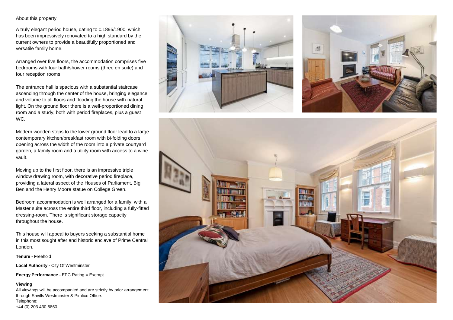## About this property

A truly elegant period house, dating to c.1895/1900, which has been impressively renovated to a high standard by the current owners to provide a beautifully proportioned and versatile family home.

Arranged over five floors, the accommodation comprises five bedrooms with four bath/shower rooms (three en suite) and four reception rooms.

The entrance hall is spacious with a substantial staircase ascending through the center of the house, bringing elegance and volume to all floors and flooding the house with natural light. On the ground floor there is a well-proportioned dining room and a study, both with period fireplaces, plus a guest WC.

Modern wooden steps to the lower ground floor lead to a large contemporary kitchen/breakfast room with bi-folding doors, opening across the width of the room into a private courtyard garden, a family room and a utility room with access to a wine vault.

Moving up to the first floor, there is an impressive triple window drawing room, with decorative period fireplace, providing a lateral aspect of the Houses of Parliament, Big Ben and the Henry Moore statue on College Green.

Bedroom accommodation is well arranged for a family, with a Master suite across the entire third floor, including a fully-fitted dressing-room. There is significant storage capacity throughout the house.

This house will appeal to buyers seeking a substantial home in this most sought after and historic enclave of Prime Central London.

**Tenure -** Freehold

**Local Authority -** City Of Westminster

**Energy Performance -** EPC Rating = Exempt

## **Viewing**

All viewings will be accompanied and are strictly by prior arrangement through Savills Westminster & Pimlico Office. Telephone: +44 (0) 203 430 6860.





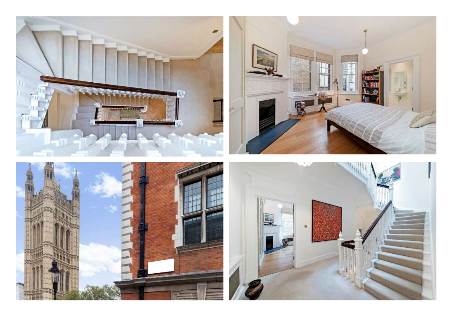